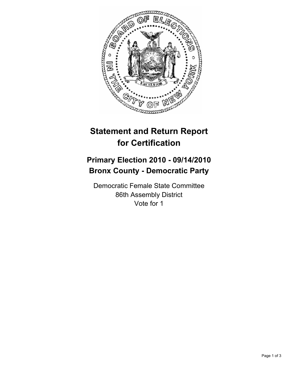

# **Statement and Return Report for Certification**

## **Primary Election 2010 - 09/14/2010 Bronx County - Democratic Party**

Democratic Female State Committee 86th Assembly District Vote for 1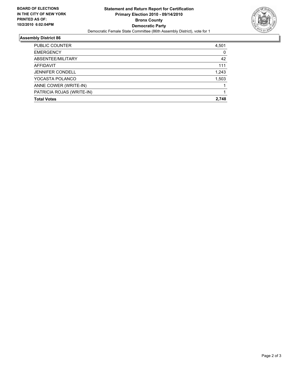

### **Assembly District 86**

| 2.748 |
|-------|
|       |
|       |
|       |
| 1,503 |
| 1,243 |
| 111   |
| 42    |
| 0     |
| 4,501 |
|       |